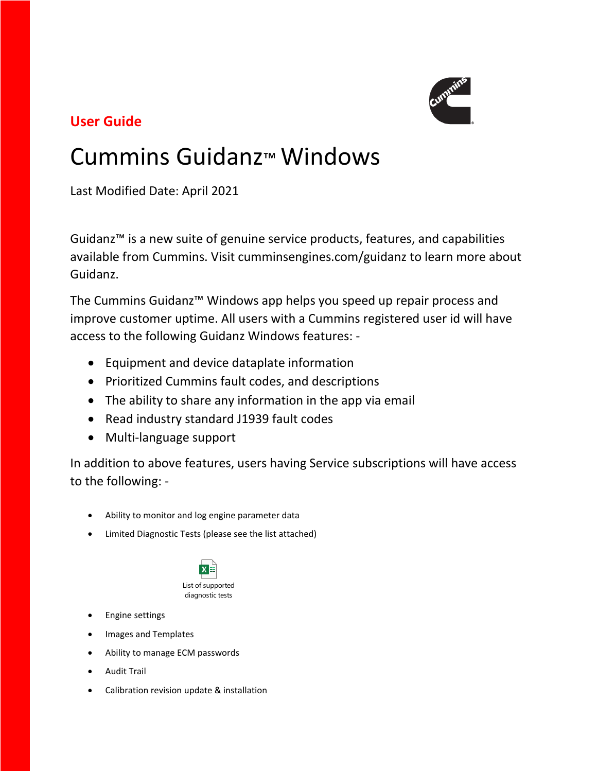

# **User Guide**

# Cummins Guidanz™ Windows

Last Modified Date: April 2021

Guidanz™ is a new suite of genuine service products, features, and capabilities available from Cummins. Visit cumminsengines.com/guidanz to learn more about Guidanz.

The Cummins Guidanz™ Windows app helps you speed up repair process and improve customer uptime. All users with a Cummins registered user id will have access to the following Guidanz Windows features: -

- Equipment and device dataplate information
- Prioritized Cummins fault codes, and descriptions
- The ability to share any information in the app via email
- Read industry standard J1939 fault codes
- Multi-language support

In addition to above features, users having Service subscriptions will have access to the following: -

- Ability to monitor and log engine parameter data
- Limited Diagnostic Tests (please see the list attached)



List of supported diagnostic tests

- Engine settings
- Images and Templates
- Ability to manage ECM passwords
- Audit Trail
- Calibration revision update & installation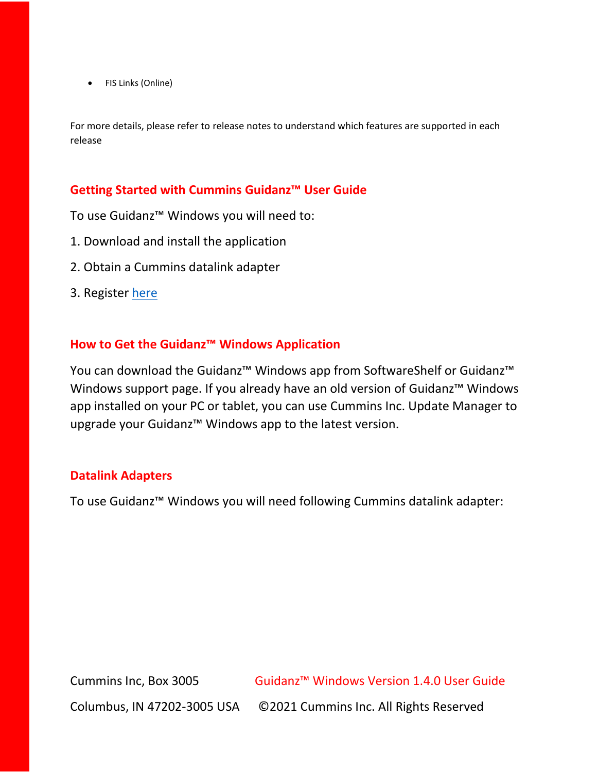• FIS Links (Online)

For more details, please refer to release notes to understand which features are supported in each release

#### **Getting Started with Cummins Guidanz™ User Guide**

To use Guidanz™ Windows you will need to:

- 1. Download and install the application
- 2. Obtain a Cummins datalink adapter
- 3. Register [here](https://mylogin.cummins.com/web/IAM_NewRegistration?appid=a1a4N00000F2oKa)

#### **How to Get the Guidanz™ Windows Application**

You can download the Guidanz™ Windows app from SoftwareShelf or Guidanz™ Windows support page. If you already have an old version of Guidanz™ Windows app installed on your PC or tablet, you can use Cummins Inc. Update Manager to upgrade your Guidanz™ Windows app to the latest version.

#### **Datalink Adapters**

To use Guidanz™ Windows you will need following Cummins datalink adapter:

Cummins Inc, Box 3005 Guidanz™ Windows Version 1.4.0 User Guide Columbus, IN 47202-3005 USA ©2021 Cummins Inc. All Rights Reserved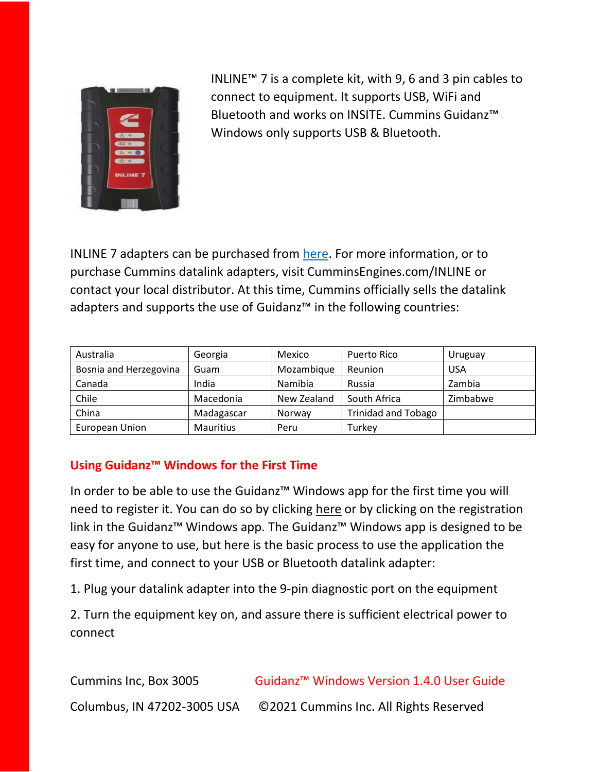

INLINE™ 7 is a complete kit, with 9, 6 and 3 pin cables to connect to equipment. It supports USB, WiFi and Bluetooth and works on INSITE. Cummins Guidanz™ Windows only supports USB & Bluetooth.

INLINE 7 adapters can be purchased from [here.](https://store.cummins.com/#/home) For more information, or to purchase Cummins datalink adapters, visit CumminsEngines.com/INLINE or contact your local distributor. At this time, Cummins officially sells the datalink adapters and supports the use of Guidanz™ in the following countries:

| Australia              | Georgia    | Mexico      | Puerto Rico                | Uruguay    |
|------------------------|------------|-------------|----------------------------|------------|
| Bosnia and Herzegovina | Guam       | Mozambique  | Reunion                    | <b>USA</b> |
| Canada                 | India      | Namibia     | Russia                     | Zambia     |
| Chile                  | Macedonia  | New Zealand | South Africa               | Zimbabwe   |
| China                  | Madagascar | Norway      | <b>Trinidad and Tobago</b> |            |
| European Union         | Mauritius  | Peru        | Turkev                     |            |

## **Using Guidanz™ Windows for the First Time**

In order to be able to use the Guidanz™ Windows app for the first time you will need to register it. You can do so by clicking [here](https://mylogin.cummins.com/web/IAM_NewRegistration?appid=a1a4N00000F2oKa) or by clicking on the registration link in the Guidanz™ Windows app. The Guidanz™ Windows app is designed to be easy for anyone to use, but here is the basic process to use the application the first time, and connect to your USB or Bluetooth datalink adapter:

1. Plug your datalink adapter into the 9-pin diagnostic port on the equipment

2. Turn the equipment key on, and assure there is sufficient electrical power to connect

| Cummins Inc, Box 3005       | Guidanz <sup>™</sup> Windows Version 1.4.0 User Guide |
|-----------------------------|-------------------------------------------------------|
| Columbus, IN 47202-3005 USA | ©2021 Cummins Inc. All Rights Reserved                |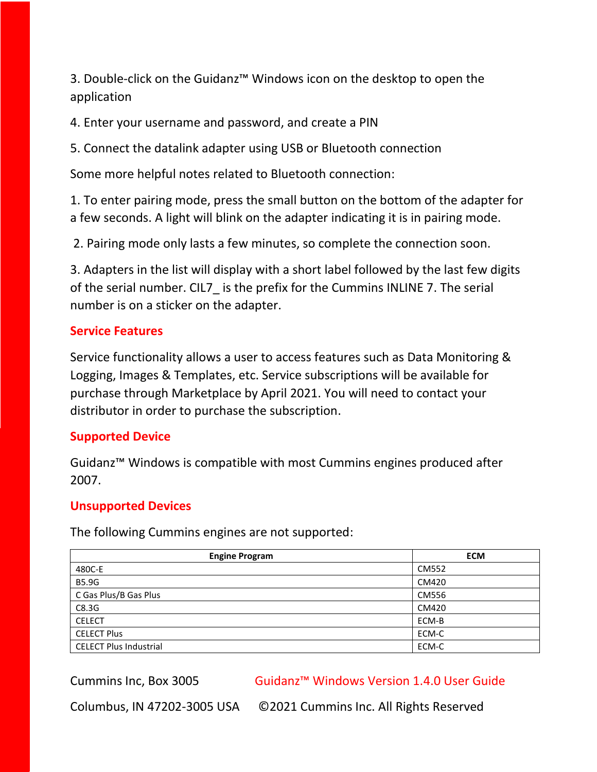3. Double-click on the Guidanz™ Windows icon on the desktop to open the application

4. Enter your username and password, and create a PIN

5. Connect the datalink adapter using USB or Bluetooth connection

Some more helpful notes related to Bluetooth connection:

1. To enter pairing mode, press the small button on the bottom of the adapter for a few seconds. A light will blink on the adapter indicating it is in pairing mode.

2. Pairing mode only lasts a few minutes, so complete the connection soon.

3. Adapters in the list will display with a short label followed by the last few digits of the serial number. CIL7\_ is the prefix for the Cummins INLINE 7. The serial number is on a sticker on the adapter.

#### **Service Features**

Service functionality allows a user to access features such as Data Monitoring & Logging, Images & Templates, etc. Service subscriptions will be available for purchase through Marketplace by April 2021. You will need to contact your distributor in order to purchase the subscription.

#### **Supported Device**

Guidanz™ Windows is compatible with most Cummins engines produced after 2007.

#### **Unsupported Devices**

The following Cummins engines are not supported:

| <b>Engine Program</b>         | <b>ECM</b> |
|-------------------------------|------------|
| 480C-E                        | CM552      |
| <b>B5.9G</b>                  | CM420      |
| C Gas Plus/B Gas Plus         | CM556      |
| C8.3G                         | CM420      |
| <b>CELECT</b>                 | ECM-B      |
| <b>CELECT Plus</b>            | ECM-C      |
| <b>CELECT Plus Industrial</b> | ECM-C      |

Cummins Inc, Box 3005 Guidanz™ Windows Version 1.4.0 User Guide

Columbus, IN 47202-3005 USA ©2021 Cummins Inc. All Rights Reserved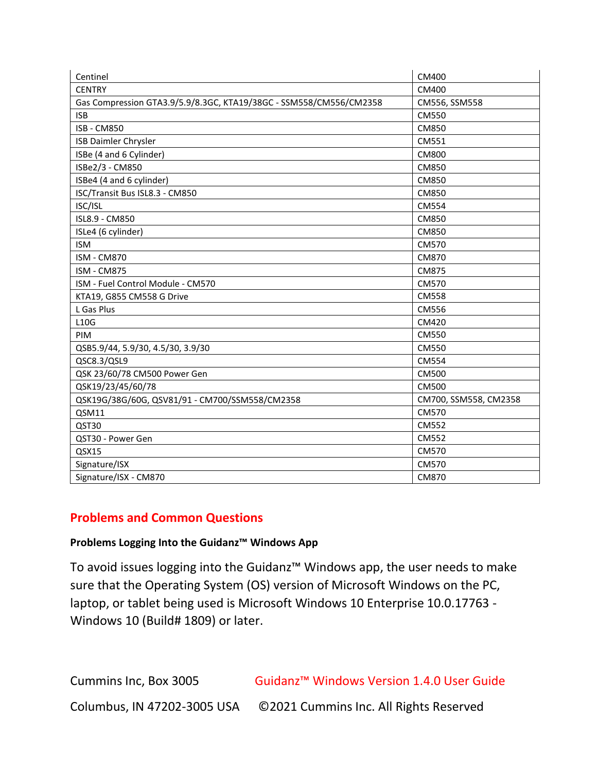| Centinel                                                           | CM400                 |
|--------------------------------------------------------------------|-----------------------|
| <b>CENTRY</b>                                                      | CM400                 |
| Gas Compression GTA3.9/5.9/8.3GC, KTA19/38GC - SSM558/CM556/CM2358 | CM556, SSM558         |
| <b>ISB</b>                                                         | CM550                 |
| <b>ISB - CM850</b>                                                 | CM850                 |
| ISB Daimler Chrysler                                               | CM551                 |
| ISBe (4 and 6 Cylinder)                                            | <b>CM800</b>          |
| ISBe2/3 - CM850                                                    | CM850                 |
| ISBe4 (4 and 6 cylinder)                                           | CM850                 |
| ISC/Transit Bus ISL8.3 - CM850                                     | CM850                 |
| ISC/ISL                                                            | CM554                 |
| ISL8.9 - CM850                                                     | CM850                 |
| ISLe4 (6 cylinder)                                                 | CM850                 |
| <b>ISM</b>                                                         | CM570                 |
| <b>ISM - CM870</b>                                                 | CM870                 |
| <b>ISM - CM875</b>                                                 | CM875                 |
| ISM - Fuel Control Module - CM570                                  | CM570                 |
| KTA19, G855 CM558 G Drive                                          | <b>CM558</b>          |
| L Gas Plus                                                         | <b>CM556</b>          |
| L10G                                                               | CM420                 |
| PIM                                                                | CM550                 |
| QSB5.9/44, 5.9/30, 4.5/30, 3.9/30                                  | CM550                 |
| QSC8.3/QSL9                                                        | CM554                 |
| QSK 23/60/78 CM500 Power Gen                                       | CM500                 |
| QSK19/23/45/60/78                                                  | CM500                 |
| QSK19G/38G/60G, QSV81/91 - CM700/SSM558/CM2358                     | CM700, SSM558, CM2358 |
| QSM11                                                              | CM570                 |
| QST30                                                              | CM552                 |
| QST30 - Power Gen                                                  | CM552                 |
| QSX15                                                              | CM570                 |
| Signature/ISX                                                      | CM570                 |
| Signature/ISX - CM870                                              | CM870                 |

#### **Problems and Common Questions**

#### **Problems Logging Into the Guidanz™ Windows App**

To avoid issues logging into the Guidanz™ Windows app, the user needs to make sure that the Operating System (OS) version of Microsoft Windows on the PC, laptop, or tablet being used is Microsoft Windows 10 Enterprise 10.0.17763 - Windows 10 (Build# 1809) or later.